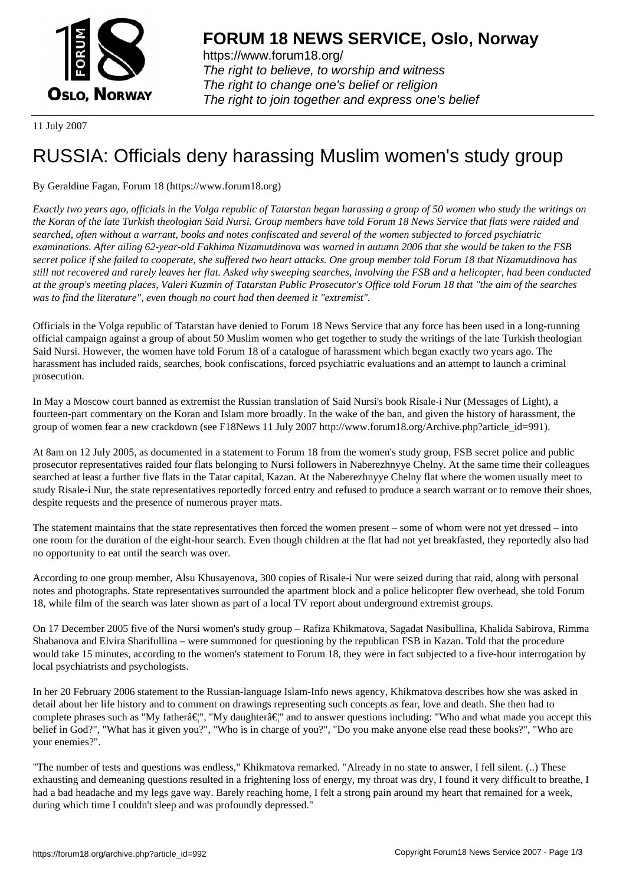

https://www.forum18.org/ The right to believe, to worship and witness The right to change one's belief or religion [The right to join together a](https://www.forum18.org/)nd express one's belief

11 July 2007

## [RUSSIA: Officia](https://www.forum18.org)ls deny harassing Muslim women's study group

## By Geraldine Fagan, Forum 18 (https://www.forum18.org)

*Exactly two years ago, officials in the Volga republic of Tatarstan began harassing a group of 50 women who study the writings on the Koran of the late Turkish theologian Said Nursi. Group members have told Forum 18 News Service that flats were raided and searched, often without a warrant, books and notes confiscated and several of the women subjected to forced psychiatric examinations. After ailing 62-year-old Fakhima Nizamutdinova was warned in autumn 2006 that she would be taken to the FSB secret police if she failed to cooperate, she suffered two heart attacks. One group member told Forum 18 that Nizamutdinova has still not recovered and rarely leaves her flat. Asked why sweeping searches, involving the FSB and a helicopter, had been conducted at the group's meeting places, Valeri Kuzmin of Tatarstan Public Prosecutor's Office told Forum 18 that "the aim of the searches was to find the literature", even though no court had then deemed it "extremist".*

Officials in the Volga republic of Tatarstan have denied to Forum 18 News Service that any force has been used in a long-running official campaign against a group of about 50 Muslim women who get together to study the writings of the late Turkish theologian Said Nursi. However, the women have told Forum 18 of a catalogue of harassment which began exactly two years ago. The harassment has included raids, searches, book confiscations, forced psychiatric evaluations and an attempt to launch a criminal prosecution.

In May a Moscow court banned as extremist the Russian translation of Said Nursi's book Risale-i Nur (Messages of Light), a fourteen-part commentary on the Koran and Islam more broadly. In the wake of the ban, and given the history of harassment, the group of women fear a new crackdown (see F18News 11 July 2007 http://www.forum18.org/Archive.php?article\_id=991).

At 8am on 12 July 2005, as documented in a statement to Forum 18 from the women's study group, FSB secret police and public prosecutor representatives raided four flats belonging to Nursi followers in Naberezhnyye Chelny. At the same time their colleagues searched at least a further five flats in the Tatar capital, Kazan. At the Naberezhnyye Chelny flat where the women usually meet to study Risale-i Nur, the state representatives reportedly forced entry and refused to produce a search warrant or to remove their shoes, despite requests and the presence of numerous prayer mats.

The statement maintains that the state representatives then forced the women present – some of whom were not yet dressed – into one room for the duration of the eight-hour search. Even though children at the flat had not yet breakfasted, they reportedly also had no opportunity to eat until the search was over.

According to one group member, Alsu Khusayenova, 300 copies of Risale-i Nur were seized during that raid, along with personal notes and photographs. State representatives surrounded the apartment block and a police helicopter flew overhead, she told Forum 18, while film of the search was later shown as part of a local TV report about underground extremist groups.

On 17 December 2005 five of the Nursi women's study group – Rafiza Khikmatova, Sagadat Nasibullina, Khalida Sabirova, Rimma Shabanova and Elvira Sharifullina – were summoned for questioning by the republican FSB in Kazan. Told that the procedure would take 15 minutes, according to the women's statement to Forum 18, they were in fact subjected to a five-hour interrogation by local psychiatrists and psychologists.

In her 20 February 2006 statement to the Russian-language Islam-Info news agency, Khikmatova describes how she was asked in detail about her life history and to comment on drawings representing such concepts as fear, love and death. She then had to complete phrases such as "My father $\hat{\alpha} \in \mathbb{N}$ ", "My daughter $\hat{\alpha} \in \mathbb{N}$ " and to answer questions including: "Who and what made you accept this belief in God?", "What has it given you?", "Who is in charge of you?", "Do you make anyone else read these books?", "Who are your enemies?".

"The number of tests and questions was endless," Khikmatova remarked. "Already in no state to answer, I fell silent. (..) These exhausting and demeaning questions resulted in a frightening loss of energy, my throat was dry, I found it very difficult to breathe, I had a bad headache and my legs gave way. Barely reaching home, I felt a strong pain around my heart that remained for a week, during which time I couldn't sleep and was profoundly depressed."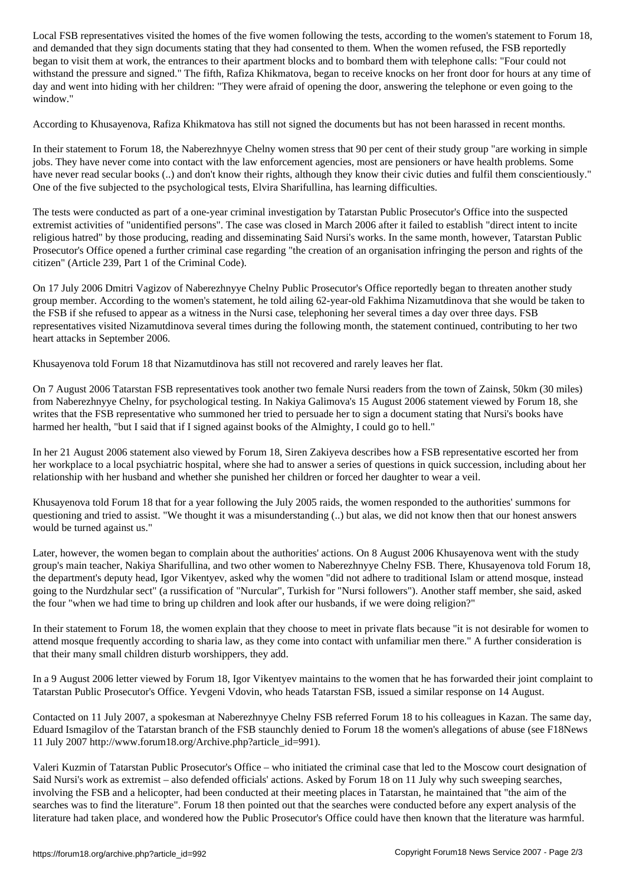and demanded that they sign documents stating that they had consented to them. When the women refused, the FSB reportedly began to visit them at work, the entrances to their apartment blocks and to bombard them with telephone calls: "Four could not withstand the pressure and signed." The fifth, Rafiza Khikmatova, began to receive knocks on her front door for hours at any time of day and went into hiding with her children: "They were afraid of opening the door, answering the telephone or even going to the window."

According to Khusayenova, Rafiza Khikmatova has still not signed the documents but has not been harassed in recent months.

In their statement to Forum 18, the Naberezhnyye Chelny women stress that 90 per cent of their study group "are working in simple jobs. They have never come into contact with the law enforcement agencies, most are pensioners or have health problems. Some have never read secular books (..) and don't know their rights, although they know their civic duties and fulfil them conscientiously." One of the five subjected to the psychological tests, Elvira Sharifullina, has learning difficulties.

The tests were conducted as part of a one-year criminal investigation by Tatarstan Public Prosecutor's Office into the suspected extremist activities of "unidentified persons". The case was closed in March 2006 after it failed to establish "direct intent to incite religious hatred" by those producing, reading and disseminating Said Nursi's works. In the same month, however, Tatarstan Public Prosecutor's Office opened a further criminal case regarding "the creation of an organisation infringing the person and rights of the citizen" (Article 239, Part 1 of the Criminal Code).

On 17 July 2006 Dmitri Vagizov of Naberezhnyye Chelny Public Prosecutor's Office reportedly began to threaten another study group member. According to the women's statement, he told ailing 62-year-old Fakhima Nizamutdinova that she would be taken to the FSB if she refused to appear as a witness in the Nursi case, telephoning her several times a day over three days. FSB representatives visited Nizamutdinova several times during the following month, the statement continued, contributing to her two heart attacks in September 2006.

Khusayenova told Forum 18 that Nizamutdinova has still not recovered and rarely leaves her flat.

On 7 August 2006 Tatarstan FSB representatives took another two female Nursi readers from the town of Zainsk, 50km (30 miles) from Naberezhnyye Chelny, for psychological testing. In Nakiya Galimova's 15 August 2006 statement viewed by Forum 18, she writes that the FSB representative who summoned her tried to persuade her to sign a document stating that Nursi's books have harmed her health, "but I said that if I signed against books of the Almighty, I could go to hell."

In her 21 August 2006 statement also viewed by Forum 18, Siren Zakiyeva describes how a FSB representative escorted her from her workplace to a local psychiatric hospital, where she had to answer a series of questions in quick succession, including about her relationship with her husband and whether she punished her children or forced her daughter to wear a veil.

Khusayenova told Forum 18 that for a year following the July 2005 raids, the women responded to the authorities' summons for questioning and tried to assist. "We thought it was a misunderstanding (..) but alas, we did not know then that our honest answers would be turned against us."

Later, however, the women began to complain about the authorities' actions. On 8 August 2006 Khusayenova went with the study group's main teacher, Nakiya Sharifullina, and two other women to Naberezhnyye Chelny FSB. There, Khusayenova told Forum 18, the department's deputy head, Igor Vikentyev, asked why the women "did not adhere to traditional Islam or attend mosque, instead going to the Nurdzhular sect" (a russification of "Nurcular", Turkish for "Nursi followers"). Another staff member, she said, asked the four "when we had time to bring up children and look after our husbands, if we were doing religion?"

In their statement to Forum 18, the women explain that they choose to meet in private flats because "it is not desirable for women to attend mosque frequently according to sharia law, as they come into contact with unfamiliar men there." A further consideration is that their many small children disturb worshippers, they add.

In a 9 August 2006 letter viewed by Forum 18, Igor Vikentyev maintains to the women that he has forwarded their joint complaint to Tatarstan Public Prosecutor's Office. Yevgeni Vdovin, who heads Tatarstan FSB, issued a similar response on 14 August.

Contacted on 11 July 2007, a spokesman at Naberezhnyye Chelny FSB referred Forum 18 to his colleagues in Kazan. The same day, Eduard Ismagilov of the Tatarstan branch of the FSB staunchly denied to Forum 18 the women's allegations of abuse (see F18News 11 July 2007 http://www.forum18.org/Archive.php?article\_id=991).

Valeri Kuzmin of Tatarstan Public Prosecutor's Office – who initiated the criminal case that led to the Moscow court designation of Said Nursi's work as extremist – also defended officials' actions. Asked by Forum 18 on 11 July why such sweeping searches, involving the FSB and a helicopter, had been conducted at their meeting places in Tatarstan, he maintained that "the aim of the searches was to find the literature". Forum 18 then pointed out that the searches were conducted before any expert analysis of the literature had taken place, and wondered how the Public Prosecutor's Office could have then known that the literature was harmful.